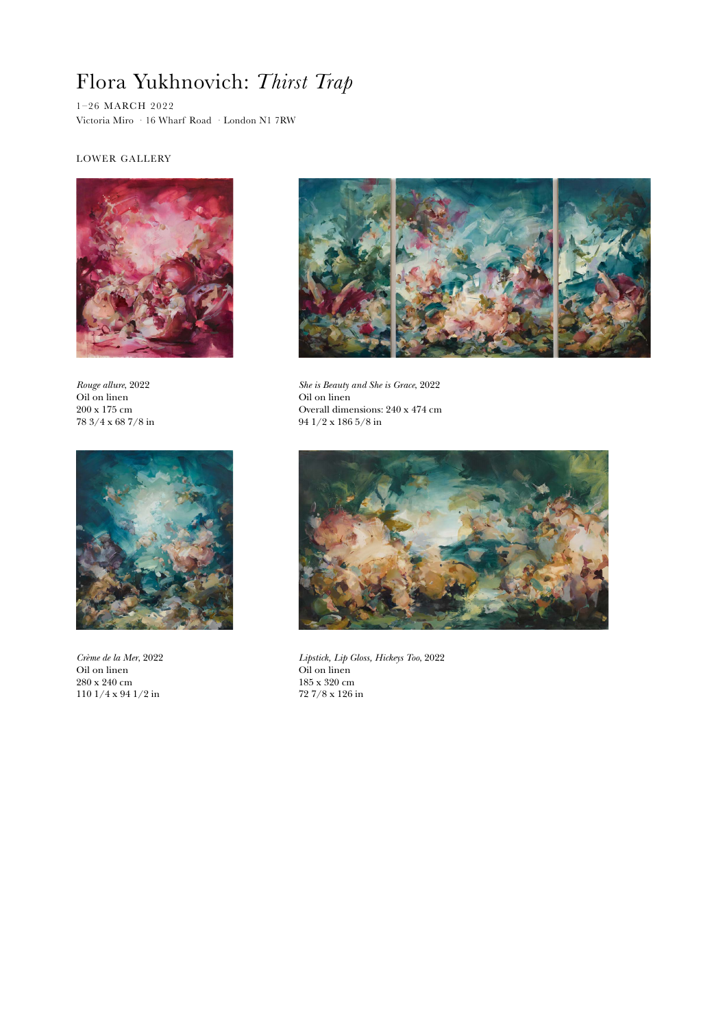## Flora Yukhnovich: *Thirst Trap*

1–26 MARCH 2022 Victoria Miro · 16 Wharf Road · London N1 7RW

## LOWER GALLERY



*Rouge allure*, 2022 Oil on linen 200 x 175 cm 78 3/4 x 68 7/8 in



*She is Beauty and She is Grace*, 2022 Oil on linen Overall dimensions: 240 x 474 cm 94 1/2 x 186 5/8 in



*Crème de la Mer*, 2022 Oil on linen 280 x 240 cm 110 1/4 x 94 1/2 in



*Lipstick, Lip Gloss, Hickeys Too*, 2022 Oil on linen 185 x 320 cm 72 7/8 x 126 in